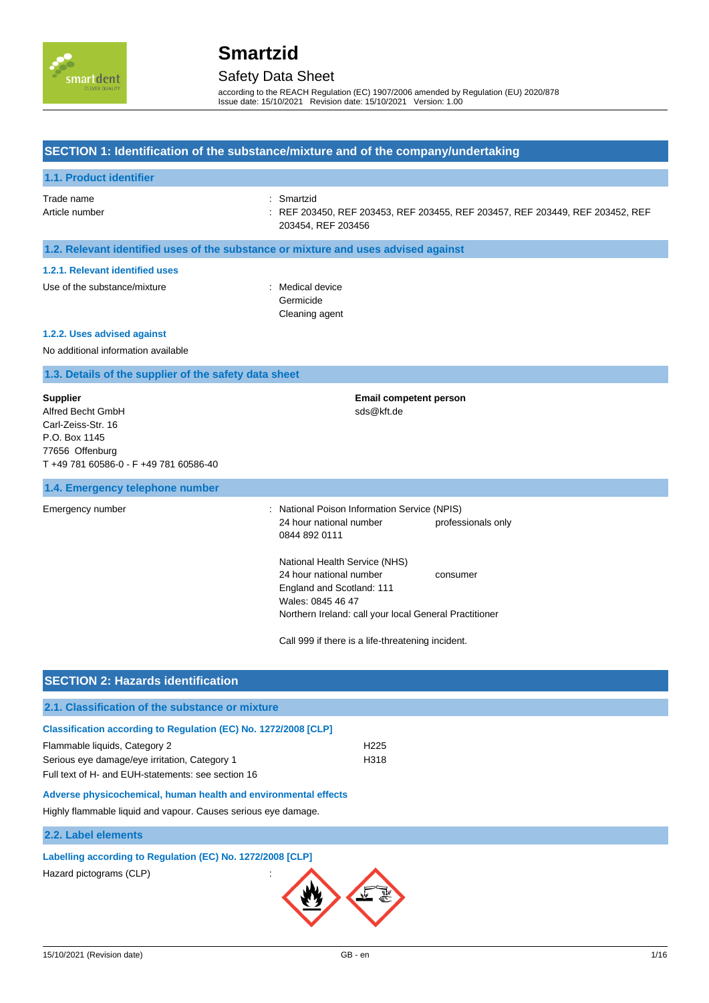

## Safety Data Sheet

according to the REACH Regulation (EC) 1907/2006 amended by Regulation (EU) 2020/878 Issue date: 15/10/2021 Revision date: 15/10/2021 Version: 1.00

#### **SECTION 1: Identification of the substance/mixture and of the company/undertaking**

| 1.1. Product identifier                                                                                                                  |                                                                                                                                                                                                                                                                                                                                                       |
|------------------------------------------------------------------------------------------------------------------------------------------|-------------------------------------------------------------------------------------------------------------------------------------------------------------------------------------------------------------------------------------------------------------------------------------------------------------------------------------------------------|
| Trade name<br>Article number                                                                                                             | Smartzid<br>REF 203450, REF 203453, REF 203455, REF 203457, REF 203449, REF 203452, REF<br>203454, REF 203456                                                                                                                                                                                                                                         |
| 1.2. Relevant identified uses of the substance or mixture and uses advised against                                                       |                                                                                                                                                                                                                                                                                                                                                       |
| 1.2.1. Relevant identified uses                                                                                                          |                                                                                                                                                                                                                                                                                                                                                       |
| Use of the substance/mixture                                                                                                             | Medical device<br>÷<br>Germicide<br>Cleaning agent                                                                                                                                                                                                                                                                                                    |
| 1.2.2. Uses advised against                                                                                                              |                                                                                                                                                                                                                                                                                                                                                       |
| No additional information available                                                                                                      |                                                                                                                                                                                                                                                                                                                                                       |
| 1.3. Details of the supplier of the safety data sheet                                                                                    |                                                                                                                                                                                                                                                                                                                                                       |
| <b>Supplier</b><br>Alfred Becht GmbH<br>Carl-Zeiss-Str. 16<br>P.O. Box 1145<br>77656 Offenburg<br>T +49 781 60586-0 - F +49 781 60586-40 | <b>Email competent person</b><br>sds@kft.de                                                                                                                                                                                                                                                                                                           |
| 1.4. Emergency telephone number                                                                                                          |                                                                                                                                                                                                                                                                                                                                                       |
| Emergency number                                                                                                                         | National Poison Information Service (NPIS)<br>24 hour national number<br>professionals only<br>0844 892 0111<br>National Health Service (NHS)<br>24 hour national number<br>consumer<br>England and Scotland: 111<br>Wales: 0845 46 47<br>Northern Ireland: call your local General Practitioner<br>Call 999 if there is a life-threatening incident. |
|                                                                                                                                          |                                                                                                                                                                                                                                                                                                                                                       |

| <b>SECTION 2: Hazards identification</b>                                                                                                                                                                                                                                                                                                     |                          |
|----------------------------------------------------------------------------------------------------------------------------------------------------------------------------------------------------------------------------------------------------------------------------------------------------------------------------------------------|--------------------------|
| 2.1. Classification of the substance or mixture                                                                                                                                                                                                                                                                                              |                          |
| Classification according to Regulation (EC) No. 1272/2008 [CLP]<br>Flammable liquids, Category 2<br>Serious eye damage/eye irritation, Category 1<br>Full text of H- and EUH-statements: see section 16<br>Adverse physicochemical, human health and environmental effects<br>Highly flammable liquid and vapour. Causes serious eye damage. | H <sub>225</sub><br>H318 |
| 2.2. Label elements                                                                                                                                                                                                                                                                                                                          |                          |
| Labelling according to Regulation (EC) No. 1272/2008 [CLP]<br>Hazard pictograms (CLP)                                                                                                                                                                                                                                                        |                          |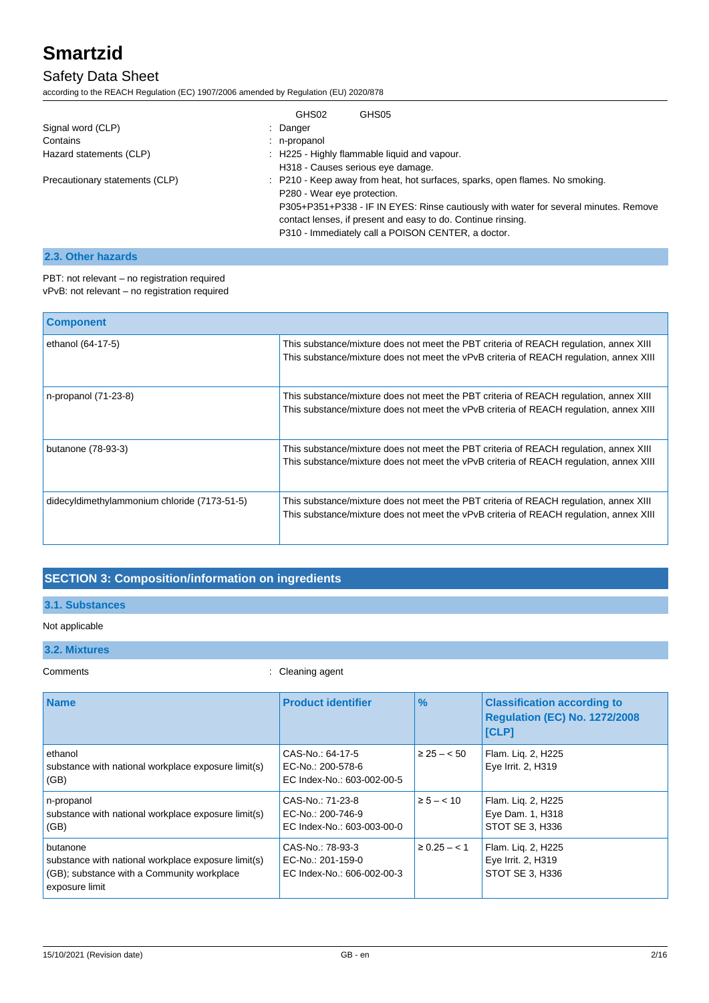### Safety Data Sheet

according to the REACH Regulation (EC) 1907/2006 amended by Regulation (EU) 2020/878

|                                | GHS02<br>GHS05                                                                                                                                       |
|--------------------------------|------------------------------------------------------------------------------------------------------------------------------------------------------|
| Signal word (CLP)              | : Danger                                                                                                                                             |
| Contains                       | : n-propanol                                                                                                                                         |
| Hazard statements (CLP)        | : H225 - Highly flammable liquid and vapour.                                                                                                         |
|                                | H318 - Causes serious eye damage.                                                                                                                    |
| Precautionary statements (CLP) | : P210 - Keep away from heat, hot surfaces, sparks, open flames. No smoking.<br>P280 - Wear eye protection.                                          |
|                                | P305+P351+P338 - IF IN EYES: Rinse cautiously with water for several minutes. Remove<br>contact lenses, if present and easy to do. Continue rinsing. |
|                                | P310 - Immediately call a POISON CENTER, a doctor.                                                                                                   |

### **2.3. Other hazards**

| PBT: not relevant - no registration required  |
|-----------------------------------------------|
| vPvB: not relevant - no registration required |

| <b>Component</b>                             |                                                                                                                                                                                 |
|----------------------------------------------|---------------------------------------------------------------------------------------------------------------------------------------------------------------------------------|
| ethanol (64-17-5)                            | This substance/mixture does not meet the PBT criteria of REACH regulation, annex XIII<br>This substance/mixture does not meet the vPvB criteria of REACH regulation, annex XIII |
| n-propanol (71-23-8)                         | This substance/mixture does not meet the PBT criteria of REACH regulation, annex XIII<br>This substance/mixture does not meet the vPvB criteria of REACH regulation, annex XIII |
| butanone (78-93-3)                           | This substance/mixture does not meet the PBT criteria of REACH regulation, annex XIII<br>This substance/mixture does not meet the vPvB criteria of REACH regulation, annex XIII |
| didecyldimethylammonium chloride (7173-51-5) | This substance/mixture does not meet the PBT criteria of REACH regulation, annex XIII<br>This substance/mixture does not meet the vPvB criteria of REACH regulation, annex XIII |

### **SECTION 3: Composition/information on ingredients**

#### **3.1. Substances**

### Not applicable **3.2. Mixtures**

Comments : Cleaning agent

| <b>Name</b>                                                                                                                     | <b>Product identifier</b>                                           | $\frac{9}{6}$   | <b>Classification according to</b><br><b>Regulation (EC) No. 1272/2008</b> |
|---------------------------------------------------------------------------------------------------------------------------------|---------------------------------------------------------------------|-----------------|----------------------------------------------------------------------------|
|                                                                                                                                 |                                                                     |                 | <b>[CLP]</b>                                                               |
| ethanol<br>substance with national workplace exposure limit(s)<br>(GB)                                                          | CAS-No.: 64-17-5<br>EC-No.: 200-578-6<br>EC Index-No.: 603-002-00-5 | $\geq 25 - 50$  | Flam. Lig. 2, H225<br>Eye Irrit. 2, H319                                   |
| n-propanol<br>substance with national workplace exposure limit(s)<br>(GB)                                                       | CAS-No.: 71-23-8<br>EC-No.: 200-746-9<br>EC Index-No.: 603-003-00-0 | $\ge 5 - < 10$  | Flam. Lig. 2, H225<br>Eye Dam. 1, H318<br>STOT SE 3. H336                  |
| butanone<br>substance with national workplace exposure limit(s)<br>(GB); substance with a Community workplace<br>exposure limit | CAS-No.: 78-93-3<br>EC-No.: 201-159-0<br>EC Index-No.: 606-002-00-3 | $\geq 0.25 - 1$ | Flam. Lig. 2, H225<br>Eye Irrit. 2, H319<br>STOT SE 3, H336                |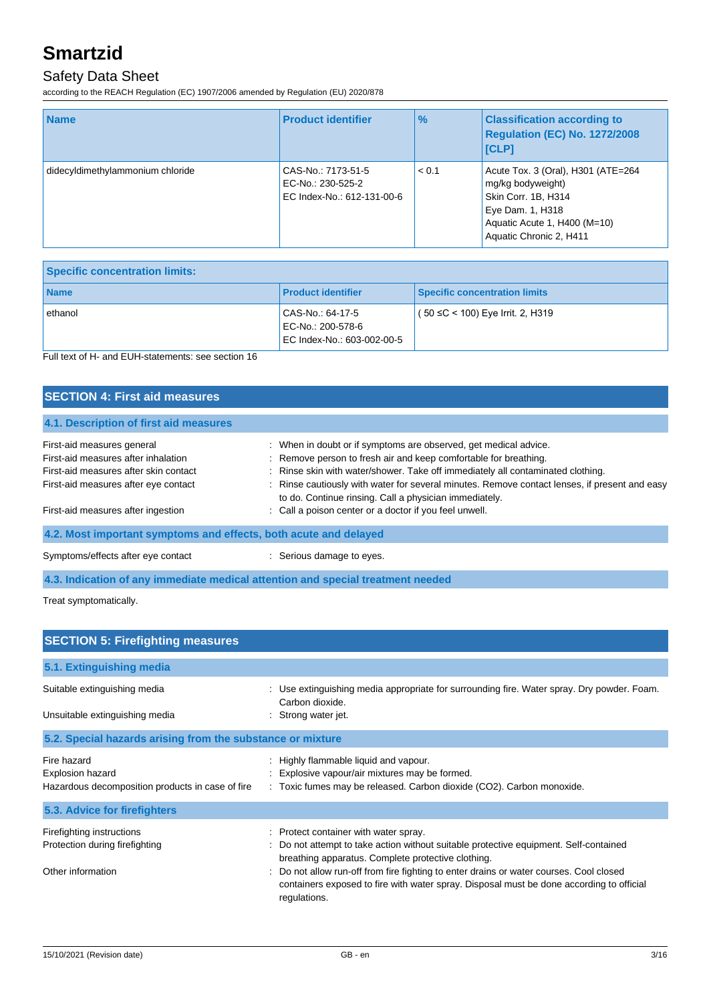### Safety Data Sheet

according to the REACH Regulation (EC) 1907/2006 amended by Regulation (EU) 2020/878

| <b>Name</b>                      | <b>Product identifier</b>                                             | $\frac{9}{6}$ | <b>Classification according to</b><br>Regulation (EC) No. 1272/2008<br><b>ICLPI</b>                                                                           |
|----------------------------------|-----------------------------------------------------------------------|---------------|---------------------------------------------------------------------------------------------------------------------------------------------------------------|
| didecyldimethylammonium chloride | CAS-No.: 7173-51-5<br>EC-No.: 230-525-2<br>EC Index-No.: 612-131-00-6 | < 0.1         | Acute Tox. 3 (Oral), H301 (ATE=264<br>mg/kg bodyweight)<br>Skin Corr. 1B, H314<br>Eye Dam. 1, H318<br>Aquatic Acute 1, H400 (M=10)<br>Aquatic Chronic 2, H411 |

| <b>Specific concentration limits:</b> |                                                                     |                                      |
|---------------------------------------|---------------------------------------------------------------------|--------------------------------------|
| <b>Name</b>                           | <b>Product identifier</b>                                           | <b>Specific concentration limits</b> |
| ethanol                               | CAS-No.: 64-17-5<br>EC-No.: 200-578-6<br>EC Index-No.: 603-002-00-5 | $(50 ≤ C < 100)$ Eye Irrit. 2, H319  |

Full text of H- and EUH-statements: see section 16

| <b>SECTION 4: First aid measures</b>                                                                                                               |                                                                                                                                                                                                                                                                                                                                                                                    |  |
|----------------------------------------------------------------------------------------------------------------------------------------------------|------------------------------------------------------------------------------------------------------------------------------------------------------------------------------------------------------------------------------------------------------------------------------------------------------------------------------------------------------------------------------------|--|
| 4.1. Description of first aid measures                                                                                                             |                                                                                                                                                                                                                                                                                                                                                                                    |  |
| First-aid measures general<br>First-aid measures after inhalation<br>First-aid measures after skin contact<br>First-aid measures after eye contact | : When in doubt or if symptoms are observed, get medical advice.<br>: Remove person to fresh air and keep comfortable for breathing.<br>: Rinse skin with water/shower. Take off immediately all contaminated clothing.<br>: Rinse cautiously with water for several minutes. Remove contact lenses, if present and easy<br>to do. Continue rinsing. Call a physician immediately. |  |
| First-aid measures after ingestion                                                                                                                 | : Call a poison center or a doctor if you feel unwell.                                                                                                                                                                                                                                                                                                                             |  |
| 4.2. Most important symptoms and effects, both acute and delayed                                                                                   |                                                                                                                                                                                                                                                                                                                                                                                    |  |
| Symptoms/effects after eye contact                                                                                                                 | : Serious damage to eyes.                                                                                                                                                                                                                                                                                                                                                          |  |
|                                                                                                                                                    | A Well and the attaining the control of the control of the section of the control of the attention of the state                                                                                                                                                                                                                                                                    |  |

**4.3. Indication of any immediate medical attention and special treatment needed**

Treat symptomatically.

| <b>SECTION 5: Firefighting measures</b>                              |                                                                                                                                                                                                   |
|----------------------------------------------------------------------|---------------------------------------------------------------------------------------------------------------------------------------------------------------------------------------------------|
| 5.1. Extinguishing media                                             |                                                                                                                                                                                                   |
| Suitable extinguishing media                                         | Use extinguishing media appropriate for surrounding fire. Water spray. Dry powder. Foam.<br>Carbon dioxide.                                                                                       |
| Unsuitable extinguishing media                                       | Strong water jet.                                                                                                                                                                                 |
| 5.2. Special hazards arising from the substance or mixture           |                                                                                                                                                                                                   |
| Fire hazard                                                          | Highly flammable liquid and vapour.                                                                                                                                                               |
| Explosion hazard<br>Hazardous decomposition products in case of fire | Explosive vapour/air mixtures may be formed.<br>: Toxic fumes may be released. Carbon dioxide (CO2). Carbon monoxide.                                                                             |
| 5.3. Advice for firefighters                                         |                                                                                                                                                                                                   |
| Firefighting instructions                                            | : Protect container with water spray.                                                                                                                                                             |
| Protection during firefighting                                       | : Do not attempt to take action without suitable protective equipment. Self-contained<br>breathing apparatus. Complete protective clothing.                                                       |
| Other information                                                    | Do not allow run-off from fire fighting to enter drains or water courses. Cool closed<br>containers exposed to fire with water spray. Disposal must be done according to official<br>regulations. |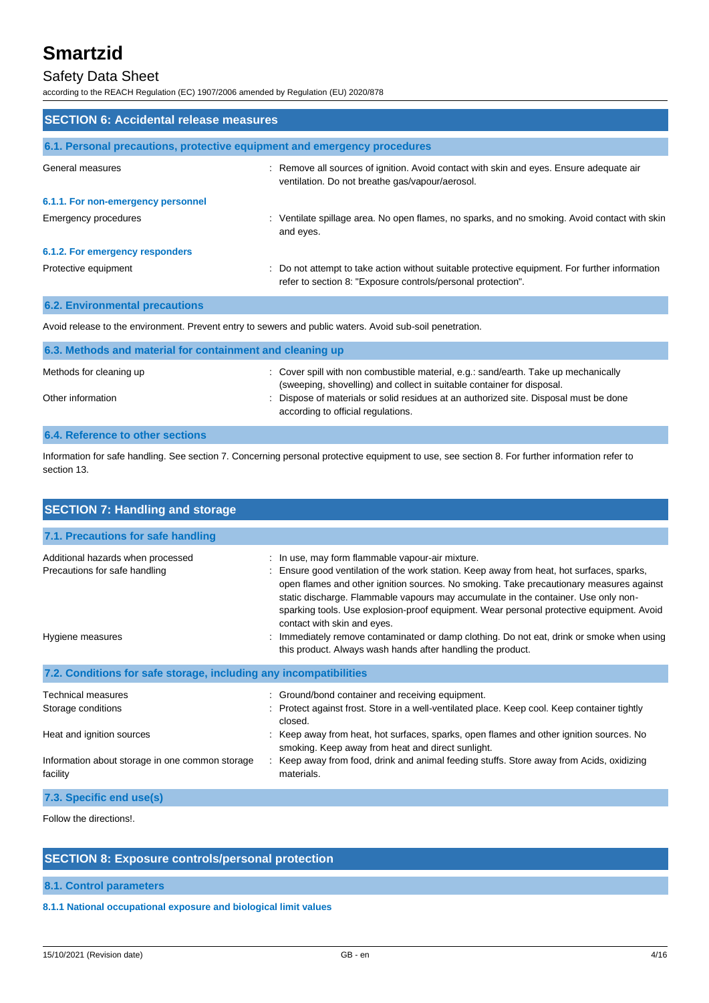### Safety Data Sheet

according to the REACH Regulation (EC) 1907/2006 amended by Regulation (EU) 2020/878

| <b>SECTION 6: Accidental release measures</b>                            |                                                                                                                                                                |  |
|--------------------------------------------------------------------------|----------------------------------------------------------------------------------------------------------------------------------------------------------------|--|
| 6.1. Personal precautions, protective equipment and emergency procedures |                                                                                                                                                                |  |
| General measures                                                         | : Remove all sources of ignition. Avoid contact with skin and eyes. Ensure adequate air<br>ventilation. Do not breathe gas/vapour/aerosol.                     |  |
| 6.1.1. For non-emergency personnel                                       |                                                                                                                                                                |  |
| Emergency procedures                                                     | : Ventilate spillage area. No open flames, no sparks, and no smoking. Avoid contact with skin<br>and eyes.                                                     |  |
| 6.1.2. For emergency responders                                          |                                                                                                                                                                |  |
| Protective equipment                                                     | : Do not attempt to take action without suitable protective equipment. For further information<br>refer to section 8: "Exposure controls/personal protection". |  |
| <b>6.2. Environmental precautions</b>                                    |                                                                                                                                                                |  |

Avoid release to the environment. Prevent entry to sewers and public waters. Avoid sub-soil penetration.

| 6.3. Methods and material for containment and cleaning up                                                                                                     |  |  |
|---------------------------------------------------------------------------------------------------------------------------------------------------------------|--|--|
| : Cover spill with non combustible material, e.g.: sand/earth. Take up mechanically<br>(sweeping, shovelling) and collect in suitable container for disposal. |  |  |
| : Dispose of materials or solid residues at an authorized site. Disposal must be done<br>according to official regulations.                                   |  |  |
|                                                                                                                                                               |  |  |

#### **6.4. Reference to other sections**

Information for safe handling. See section 7. Concerning personal protective equipment to use, see section 8. For further information refer to section 13.

| <b>SECTION 7: Handling and storage</b>                                                 |                                                                                                                                                                                                                                                                                                                                                                                                                                                                                                                                                        |  |
|----------------------------------------------------------------------------------------|--------------------------------------------------------------------------------------------------------------------------------------------------------------------------------------------------------------------------------------------------------------------------------------------------------------------------------------------------------------------------------------------------------------------------------------------------------------------------------------------------------------------------------------------------------|--|
| 7.1. Precautions for safe handling                                                     |                                                                                                                                                                                                                                                                                                                                                                                                                                                                                                                                                        |  |
| Additional hazards when processed<br>Precautions for safe handling<br>Hygiene measures | : In use, may form flammable vapour-air mixture.<br>: Ensure good ventilation of the work station. Keep away from heat, hot surfaces, sparks,<br>open flames and other ignition sources. No smoking. Take precautionary measures against<br>static discharge. Flammable vapours may accumulate in the container. Use only non-<br>sparking tools. Use explosion-proof equipment. Wear personal protective equipment. Avoid<br>contact with skin and eyes.<br>: Immediately remove contaminated or damp clothing. Do not eat, drink or smoke when using |  |
|                                                                                        | this product. Always wash hands after handling the product.                                                                                                                                                                                                                                                                                                                                                                                                                                                                                            |  |
| 7.2. Conditions for safe storage, including any incompatibilities                      |                                                                                                                                                                                                                                                                                                                                                                                                                                                                                                                                                        |  |
| <b>Technical measures</b>                                                              | : Ground/bond container and receiving equipment.                                                                                                                                                                                                                                                                                                                                                                                                                                                                                                       |  |
| Storage conditions                                                                     | : Protect against frost. Store in a well-ventilated place. Keep cool. Keep container tightly<br>closed.                                                                                                                                                                                                                                                                                                                                                                                                                                                |  |
| Heat and ignition sources                                                              | : Keep away from heat, hot surfaces, sparks, open flames and other ignition sources. No<br>smoking. Keep away from heat and direct sunlight.                                                                                                                                                                                                                                                                                                                                                                                                           |  |
| Information about storage in one common storage<br>facility                            | : Keep away from food, drink and animal feeding stuffs. Store away from Acids, oxidizing<br>materials.                                                                                                                                                                                                                                                                                                                                                                                                                                                 |  |
| 7.3. Specific end use(s)                                                               |                                                                                                                                                                                                                                                                                                                                                                                                                                                                                                                                                        |  |

Follow the directions!.

### **SECTION 8: Exposure controls/personal protection**

**8.1. Control parameters**

**8.1.1 National occupational exposure and biological limit values**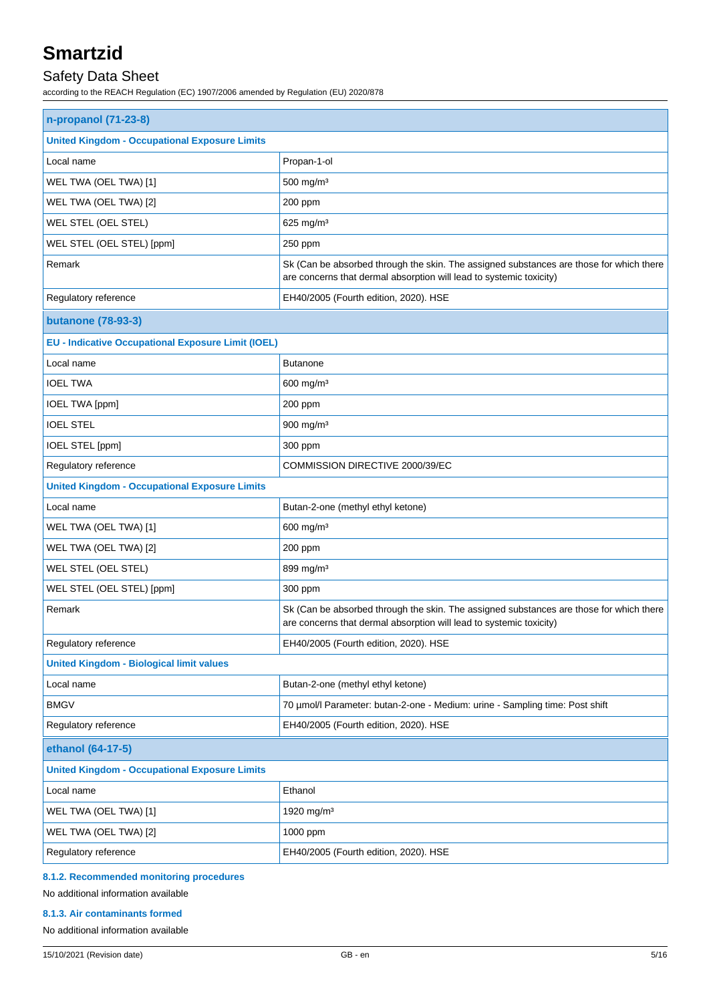### Safety Data Sheet

according to the REACH Regulation (EC) 1907/2006 amended by Regulation (EU) 2020/878

| n-propanol (71-23-8)                                      |                                                                                                                                                                |  |
|-----------------------------------------------------------|----------------------------------------------------------------------------------------------------------------------------------------------------------------|--|
| <b>United Kingdom - Occupational Exposure Limits</b>      |                                                                                                                                                                |  |
| Local name                                                | Propan-1-ol                                                                                                                                                    |  |
| WEL TWA (OEL TWA) [1]                                     | 500 mg/m <sup>3</sup>                                                                                                                                          |  |
| WEL TWA (OEL TWA) [2]                                     | 200 ppm                                                                                                                                                        |  |
| WEL STEL (OEL STEL)                                       | 625 mg/m <sup>3</sup>                                                                                                                                          |  |
| WEL STEL (OEL STEL) [ppm]                                 | 250 ppm                                                                                                                                                        |  |
| Remark                                                    | Sk (Can be absorbed through the skin. The assigned substances are those for which there<br>are concerns that dermal absorption will lead to systemic toxicity) |  |
| Regulatory reference                                      | EH40/2005 (Fourth edition, 2020). HSE                                                                                                                          |  |
| <b>butanone</b> (78-93-3)                                 |                                                                                                                                                                |  |
| <b>EU - Indicative Occupational Exposure Limit (IOEL)</b> |                                                                                                                                                                |  |
| Local name                                                | <b>Butanone</b>                                                                                                                                                |  |
| <b>IOEL TWA</b>                                           | 600 mg/m <sup>3</sup>                                                                                                                                          |  |
| IOEL TWA [ppm]                                            | 200 ppm                                                                                                                                                        |  |
| <b>IOEL STEL</b>                                          | 900 mg/m <sup>3</sup>                                                                                                                                          |  |
| IOEL STEL [ppm]                                           | 300 ppm                                                                                                                                                        |  |
| Regulatory reference                                      | COMMISSION DIRECTIVE 2000/39/EC                                                                                                                                |  |
| <b>United Kingdom - Occupational Exposure Limits</b>      |                                                                                                                                                                |  |
| Local name                                                | Butan-2-one (methyl ethyl ketone)                                                                                                                              |  |
| WEL TWA (OEL TWA) [1]                                     | 600 mg/m <sup>3</sup>                                                                                                                                          |  |
| WEL TWA (OEL TWA) [2]                                     | 200 ppm                                                                                                                                                        |  |
| WEL STEL (OEL STEL)                                       | 899 mg/m <sup>3</sup>                                                                                                                                          |  |
| WEL STEL (OEL STEL) [ppm]                                 | 300 ppm                                                                                                                                                        |  |
| Remark                                                    | Sk (Can be absorbed through the skin. The assigned substances are those for which there<br>are concerns that dermal absorption will lead to systemic toxicity) |  |
| Regulatory reference                                      | EH40/2005 (Fourth edition, 2020). HSE                                                                                                                          |  |
| <b>United Kingdom - Biological limit values</b>           |                                                                                                                                                                |  |
| Local name                                                | Butan-2-one (methyl ethyl ketone)                                                                                                                              |  |
| <b>BMGV</b>                                               | 70 µmol/l Parameter: butan-2-one - Medium: urine - Sampling time: Post shift                                                                                   |  |
| Regulatory reference                                      | EH40/2005 (Fourth edition, 2020). HSE                                                                                                                          |  |
| ethanol (64-17-5)                                         |                                                                                                                                                                |  |
| <b>United Kingdom - Occupational Exposure Limits</b>      |                                                                                                                                                                |  |
| Local name                                                | Ethanol                                                                                                                                                        |  |
| WEL TWA (OEL TWA) [1]                                     | 1920 mg/m <sup>3</sup>                                                                                                                                         |  |
| WEL TWA (OEL TWA) [2]                                     | 1000 ppm                                                                                                                                                       |  |
| Regulatory reference                                      | EH40/2005 (Fourth edition, 2020). HSE                                                                                                                          |  |

#### **8.1.2. Recommended monitoring procedures**

#### No additional information available

#### **8.1.3. Air contaminants formed**

No additional information available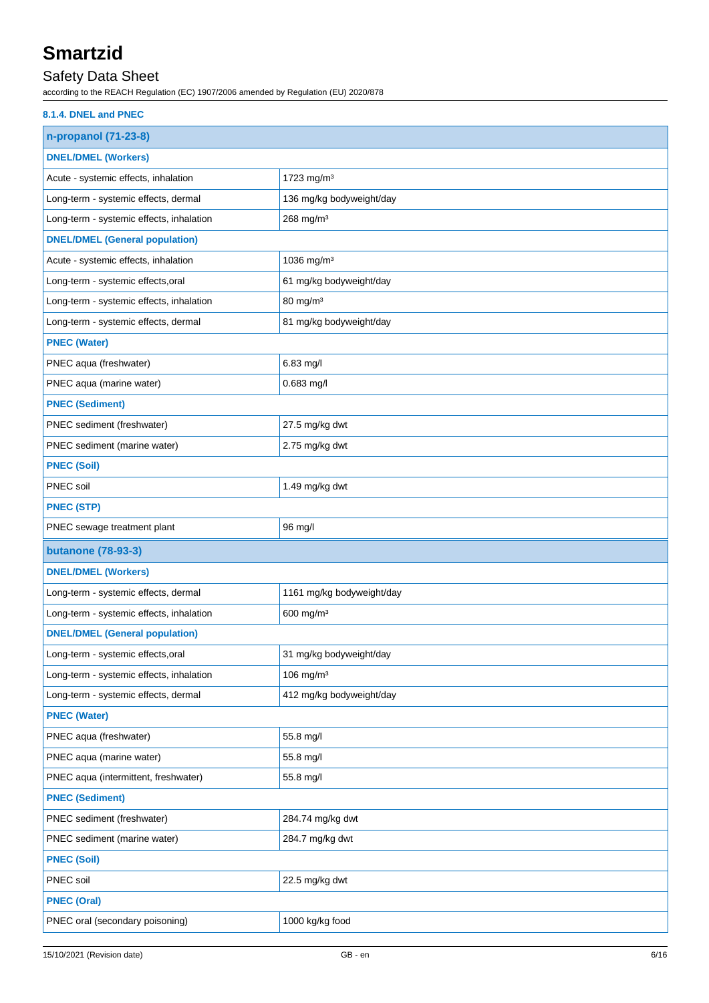### Safety Data Sheet

according to the REACH Regulation (EC) 1907/2006 amended by Regulation (EU) 2020/878

| 8.1.4. DNEL and PNEC                     |                           |
|------------------------------------------|---------------------------|
| n-propanol (71-23-8)                     |                           |
| <b>DNEL/DMEL (Workers)</b>               |                           |
| Acute - systemic effects, inhalation     | 1723 mg/m <sup>3</sup>    |
| Long-term - systemic effects, dermal     | 136 mg/kg bodyweight/day  |
| Long-term - systemic effects, inhalation | 268 mg/m <sup>3</sup>     |
| <b>DNEL/DMEL (General population)</b>    |                           |
| Acute - systemic effects, inhalation     | 1036 mg/m <sup>3</sup>    |
| Long-term - systemic effects, oral       | 61 mg/kg bodyweight/day   |
| Long-term - systemic effects, inhalation | 80 mg/m <sup>3</sup>      |
| Long-term - systemic effects, dermal     | 81 mg/kg bodyweight/day   |
| <b>PNEC (Water)</b>                      |                           |
| PNEC aqua (freshwater)                   | 6.83 mg/l                 |
| PNEC aqua (marine water)                 | 0.683 mg/l                |
| <b>PNEC (Sediment)</b>                   |                           |
| PNEC sediment (freshwater)               | 27.5 mg/kg dwt            |
| PNEC sediment (marine water)             | 2.75 mg/kg dwt            |
| <b>PNEC (Soil)</b>                       |                           |
| <b>PNEC</b> soil                         | 1.49 mg/kg dwt            |
| <b>PNEC (STP)</b>                        |                           |
|                                          |                           |
| PNEC sewage treatment plant              | 96 mg/l                   |
| <b>butanone</b> (78-93-3)                |                           |
| <b>DNEL/DMEL (Workers)</b>               |                           |
| Long-term - systemic effects, dermal     | 1161 mg/kg bodyweight/day |
| Long-term - systemic effects, inhalation | 600 mg/m <sup>3</sup>     |
| <b>DNEL/DMEL (General population)</b>    |                           |
| Long-term - systemic effects, oral       | 31 mg/kg bodyweight/day   |
| Long-term - systemic effects, inhalation | 106 mg/m <sup>3</sup>     |
| Long-term - systemic effects, dermal     | 412 mg/kg bodyweight/day  |
| <b>PNEC (Water)</b>                      |                           |
| PNEC aqua (freshwater)                   | 55.8 mg/l                 |
| PNEC aqua (marine water)                 | 55.8 mg/l                 |
| PNEC aqua (intermittent, freshwater)     | 55.8 mg/l                 |
| <b>PNEC (Sediment)</b>                   |                           |
| PNEC sediment (freshwater)               | 284.74 mg/kg dwt          |
| PNEC sediment (marine water)             | 284.7 mg/kg dwt           |
| <b>PNEC (Soil)</b>                       |                           |
| PNEC soil                                | 22.5 mg/kg dwt            |
| <b>PNEC (Oral)</b>                       |                           |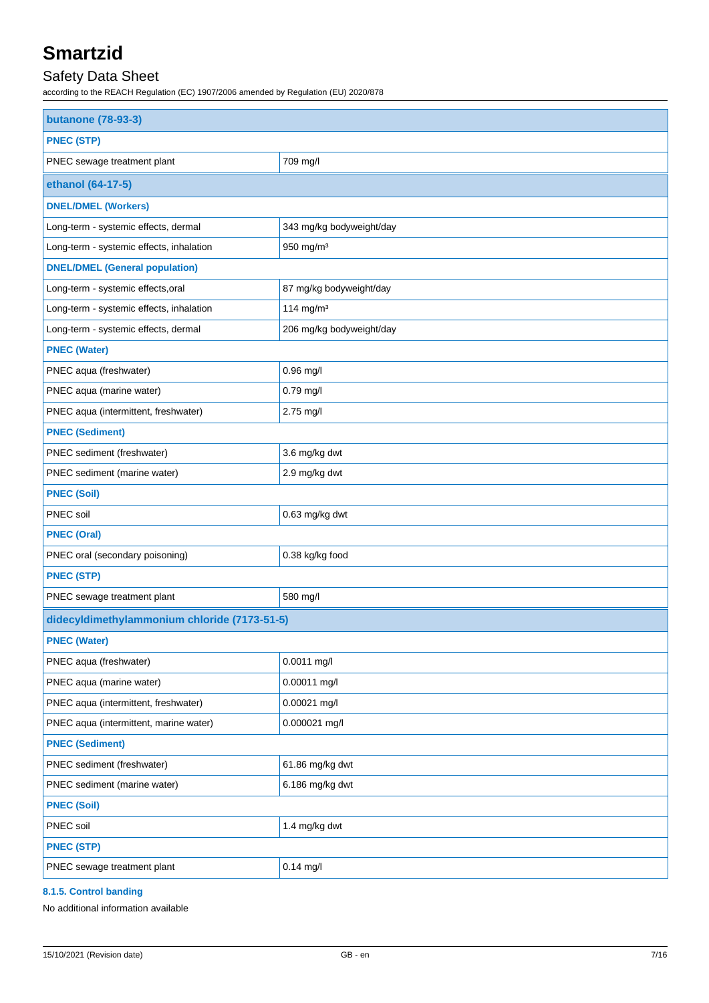### Safety Data Sheet

according to the REACH Regulation (EC) 1907/2006 amended by Regulation (EU) 2020/878

| <b>butanone</b> (78-93-3)                    |                          |  |
|----------------------------------------------|--------------------------|--|
| <b>PNEC (STP)</b>                            |                          |  |
| PNEC sewage treatment plant                  | 709 mg/l                 |  |
| ethanol (64-17-5)                            |                          |  |
| <b>DNEL/DMEL (Workers)</b>                   |                          |  |
| Long-term - systemic effects, dermal         | 343 mg/kg bodyweight/day |  |
| Long-term - systemic effects, inhalation     | 950 mg/m <sup>3</sup>    |  |
| <b>DNEL/DMEL (General population)</b>        |                          |  |
| Long-term - systemic effects, oral           | 87 mg/kg bodyweight/day  |  |
| Long-term - systemic effects, inhalation     | 114 mg/m $3$             |  |
| Long-term - systemic effects, dermal         | 206 mg/kg bodyweight/day |  |
| <b>PNEC (Water)</b>                          |                          |  |
| PNEC aqua (freshwater)                       | 0.96 mg/l                |  |
| PNEC aqua (marine water)                     | 0.79 mg/l                |  |
| PNEC aqua (intermittent, freshwater)         | 2.75 mg/l                |  |
| <b>PNEC (Sediment)</b>                       |                          |  |
| PNEC sediment (freshwater)                   | 3.6 mg/kg dwt            |  |
| PNEC sediment (marine water)                 | 2.9 mg/kg dwt            |  |
| <b>PNEC (Soil)</b>                           |                          |  |
| PNEC soil                                    | 0.63 mg/kg dwt           |  |
| <b>PNEC (Oral)</b>                           |                          |  |
| PNEC oral (secondary poisoning)              | 0.38 kg/kg food          |  |
| <b>PNEC (STP)</b>                            |                          |  |
| PNEC sewage treatment plant                  | 580 mg/l                 |  |
| didecyldimethylammonium chloride (7173-51-5) |                          |  |
| <b>PNEC (Water)</b>                          |                          |  |
| PNEC aqua (freshwater)                       | 0.0011 mg/l              |  |
| PNEC aqua (marine water)                     | 0.00011 mg/l             |  |
| PNEC aqua (intermittent, freshwater)         | 0.00021 mg/l             |  |
| PNEC aqua (intermittent, marine water)       | 0.000021 mg/l            |  |
| <b>PNEC (Sediment)</b>                       |                          |  |
| PNEC sediment (freshwater)                   | 61.86 mg/kg dwt          |  |
| PNEC sediment (marine water)                 | 6.186 mg/kg dwt          |  |
| <b>PNEC (Soil)</b>                           |                          |  |
| PNEC soil                                    | 1.4 mg/kg dwt            |  |
| <b>PNEC (STP)</b>                            |                          |  |
| PNEC sewage treatment plant                  | $0.14$ mg/l              |  |

#### **8.1.5. Control banding**

No additional information available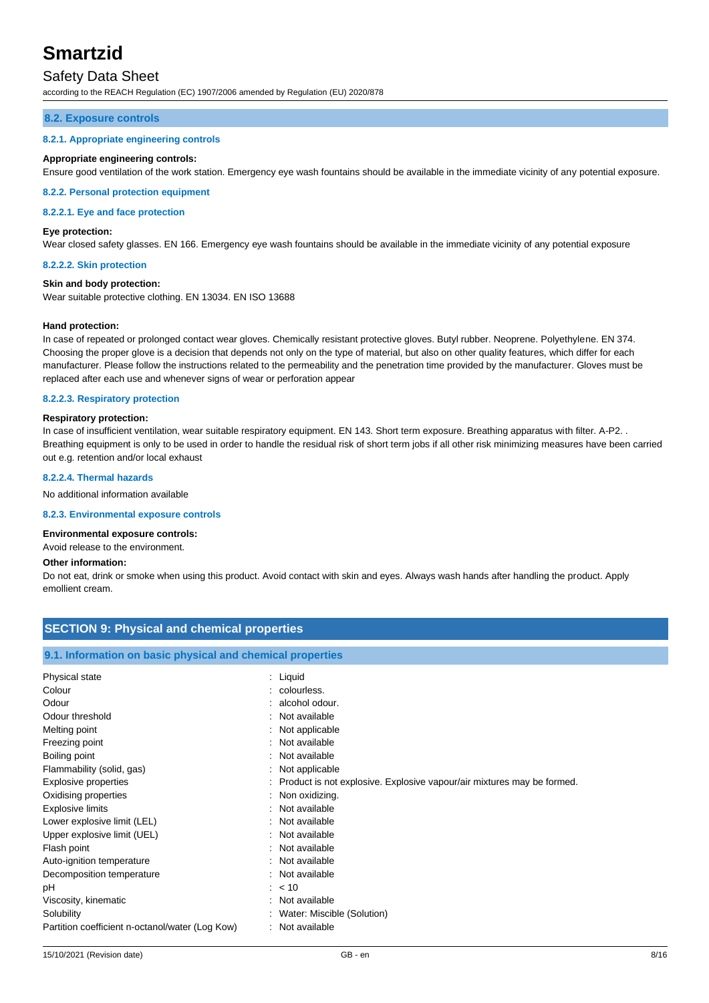### Safety Data Sheet

according to the REACH Regulation (EC) 1907/2006 amended by Regulation (EU) 2020/878

#### **8.2. Exposure controls**

#### **8.2.1. Appropriate engineering controls**

#### **Appropriate engineering controls:**

Ensure good ventilation of the work station. Emergency eye wash fountains should be available in the immediate vicinity of any potential exposure.

#### **8.2.2. Personal protection equipment**

#### **8.2.2.1. Eye and face protection**

#### **Eye protection:**

Wear closed safety glasses. EN 166. Emergency eye wash fountains should be available in the immediate vicinity of any potential exposure

#### **8.2.2.2. Skin protection**

#### **Skin and body protection:**

Wear suitable protective clothing. EN 13034. EN ISO 13688

#### **Hand protection:**

In case of repeated or prolonged contact wear gloves. Chemically resistant protective gloves. Butyl rubber. Neoprene. Polyethylene. EN 374. Choosing the proper glove is a decision that depends not only on the type of material, but also on other quality features, which differ for each manufacturer. Please follow the instructions related to the permeability and the penetration time provided by the manufacturer. Gloves must be replaced after each use and whenever signs of wear or perforation appear

#### **8.2.2.3. Respiratory protection**

#### **Respiratory protection:**

In case of insufficient ventilation, wear suitable respiratory equipment. EN 143. Short term exposure. Breathing apparatus with filter. A-P2. . Breathing equipment is only to be used in order to handle the residual risk of short term jobs if all other risk minimizing measures have been carried out e.g. retention and/or local exhaust

#### **8.2.2.4. Thermal hazards**

No additional information available

#### **8.2.3. Environmental exposure controls**

#### **Environmental exposure controls:**

Avoid release to the environment.

#### **Other information:**

Do not eat, drink or smoke when using this product. Avoid contact with skin and eyes. Always wash hands after handling the product. Apply emollient cream.

| <b>SECTION 9: Physical and chemical properties</b>         |                                                                          |  |
|------------------------------------------------------------|--------------------------------------------------------------------------|--|
| 9.1. Information on basic physical and chemical properties |                                                                          |  |
| Physical state                                             | : Liquid                                                                 |  |
| Colour                                                     | : colourless.                                                            |  |
| Odour                                                      | $:$ alcohol odour.                                                       |  |
| Odour threshold                                            | : Not available                                                          |  |
| Melting point                                              | : Not applicable                                                         |  |
| Freezing point                                             | : Not available                                                          |  |
| Boiling point                                              | : Not available                                                          |  |
| Flammability (solid, gas)                                  | : Not applicable                                                         |  |
| <b>Explosive properties</b>                                | : Product is not explosive. Explosive vapour/air mixtures may be formed. |  |
| Oxidising properties                                       | : Non oxidizing.                                                         |  |
| <b>Explosive limits</b>                                    | : Not available                                                          |  |
| Lower explosive limit (LEL)                                | : Not available                                                          |  |
| Upper explosive limit (UEL)                                | : Not available                                                          |  |
| Flash point                                                | : Not available                                                          |  |
| Auto-ignition temperature                                  | : Not available                                                          |  |
| Decomposition temperature                                  | : Not available                                                          |  |
| рH                                                         | $: 10^{-1}$                                                              |  |
| Viscosity, kinematic                                       | : Not available                                                          |  |
| Solubility                                                 | : Water: Miscible (Solution)                                             |  |
| Partition coefficient n-octanol/water (Log Kow)            | : Not available                                                          |  |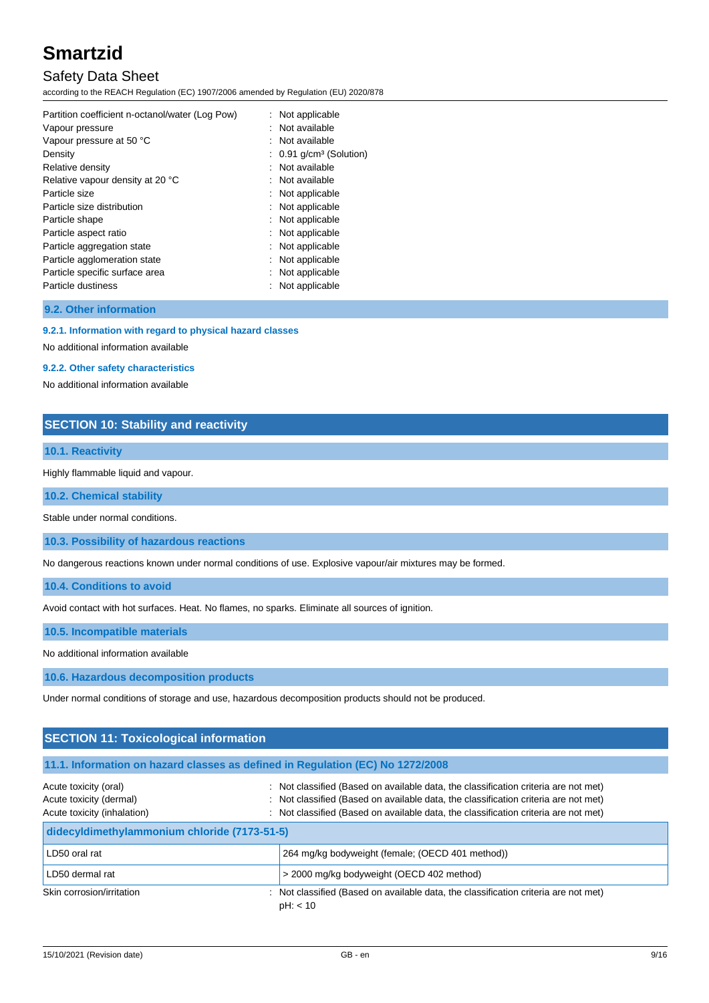### Safety Data Sheet

according to the REACH Regulation (EC) 1907/2006 amended by Regulation (EU) 2020/878

| Partition coefficient n-octanol/water (Log Pow) | Not applicable                        |
|-------------------------------------------------|---------------------------------------|
| Vapour pressure                                 | : Not available                       |
| Vapour pressure at 50 °C                        | : Not available                       |
| Density                                         | $: 0.91$ g/cm <sup>3</sup> (Solution) |
| Relative density                                | Not available                         |
| Relative vapour density at 20 °C                | Not available                         |
| Particle size                                   | Not applicable                        |
| Particle size distribution                      | Not applicable                        |
| Particle shape                                  | : Not applicable                      |
| Particle aspect ratio                           | Not applicable                        |
| Particle aggregation state                      | Not applicable                        |
| Particle agglomeration state                    | Not applicable                        |
| Particle specific surface area                  | Not applicable                        |
| Particle dustiness                              | Not applicable                        |
|                                                 |                                       |

**9.2. Other information**

**9.2.1. Information with regard to physical hazard classes**

No additional information available

#### **9.2.2. Other safety characteristics**

No additional information available

#### **SECTION 10: Stability and reactivity**

#### **10.1. Reactivity**

Highly flammable liquid and vapour.

**10.2. Chemical stability**

Stable under normal conditions.

**10.3. Possibility of hazardous reactions**

No dangerous reactions known under normal conditions of use. Explosive vapour/air mixtures may be formed.

**10.4. Conditions to avoid**

Avoid contact with hot surfaces. Heat. No flames, no sparks. Eliminate all sources of ignition.

**10.5. Incompatible materials**

No additional information available

**10.6. Hazardous decomposition products**

Under normal conditions of storage and use, hazardous decomposition products should not be produced.

#### **SECTION 11: Toxicological information**

#### **11.1. Information on hazard classes as defined in Regulation (EC) No 1272/2008**

| Acute toxicity (oral)<br>Acute toxicity (dermal)<br>Acute toxicity (inhalation) | : Not classified (Based on available data, the classification criteria are not met)<br>: Not classified (Based on available data, the classification criteria are not met)<br>: Not classified (Based on available data, the classification criteria are not met) |
|---------------------------------------------------------------------------------|-------------------------------------------------------------------------------------------------------------------------------------------------------------------------------------------------------------------------------------------------------------------|
| didecyldimethylammonium chloride (7173-51-5)                                    |                                                                                                                                                                                                                                                                   |
| LD50 oral rat                                                                   | 264 mg/kg bodyweight (female; (OECD 401 method))                                                                                                                                                                                                                  |
| LD50 dermal rat                                                                 | > 2000 mg/kg bodyweight (OECD 402 method)                                                                                                                                                                                                                         |
| Skin corrosion/irritation                                                       | : Not classified (Based on available data, the classification criteria are not met)<br>pH: < 10                                                                                                                                                                   |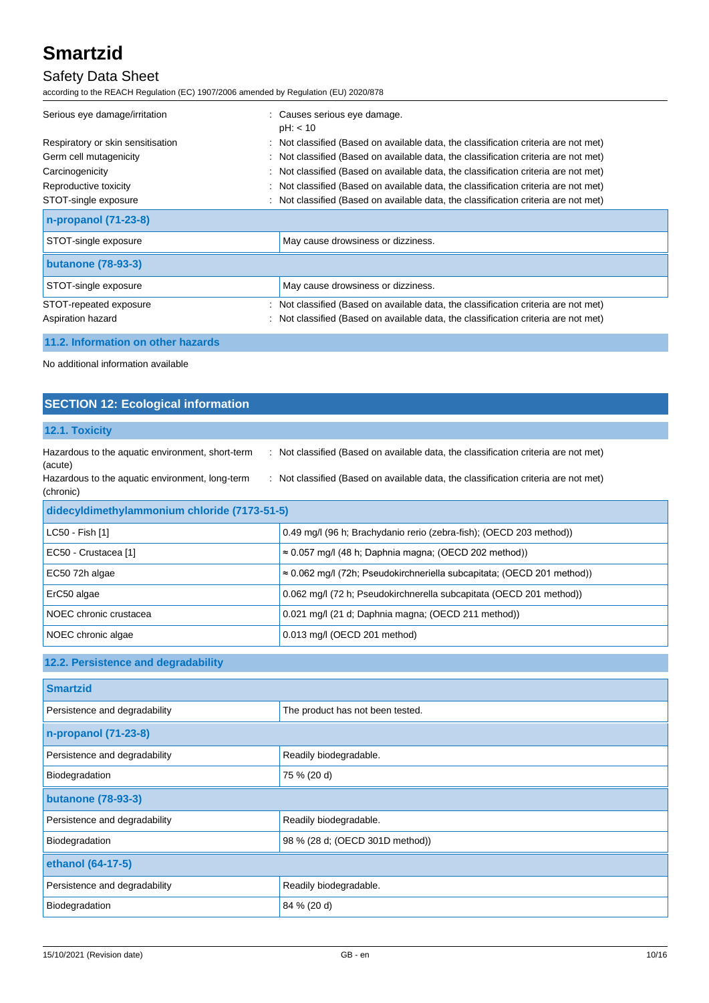### Safety Data Sheet

according to the REACH Regulation (EC) 1907/2006 amended by Regulation (EU) 2020/878

| Serious eye damage/irritation      |    | : Causes serious eye damage.<br>pH: < 10                                            |
|------------------------------------|----|-------------------------------------------------------------------------------------|
| Respiratory or skin sensitisation  |    | : Not classified (Based on available data, the classification criteria are not met) |
| Germ cell mutagenicity             |    | : Not classified (Based on available data, the classification criteria are not met) |
| Carcinogenicity                    | ÷. | Not classified (Based on available data, the classification criteria are not met)   |
| Reproductive toxicity              |    | Not classified (Based on available data, the classification criteria are not met)   |
| STOT-single exposure               |    | : Not classified (Based on available data, the classification criteria are not met) |
| n-propanol (71-23-8)               |    |                                                                                     |
| STOT-single exposure               |    | May cause drowsiness or dizziness.                                                  |
| <b>butanone (78-93-3)</b>          |    |                                                                                     |
| STOT-single exposure               |    | May cause drowsiness or dizziness.                                                  |
| STOT-repeated exposure             |    | : Not classified (Based on available data, the classification criteria are not met) |
| Aspiration hazard                  |    | : Not classified (Based on available data, the classification criteria are not met) |
| 11.2. Information on other hazards |    |                                                                                     |

No additional information available

### **SECTION 12: Ecological information**

#### **12.1. Toxicity**

| Hazardous to the aquatic environment, short-term<br>(acute)  | : Not classified (Based on available data, the classification criteria are not met) |  |
|--------------------------------------------------------------|-------------------------------------------------------------------------------------|--|
| Hazardous to the aquatic environment, long-term<br>(chronic) | : Not classified (Based on available data, the classification criteria are not met) |  |
| didecyldimethylammonium chloride (7173-51-5)                 |                                                                                     |  |
| LC50 - Fish [1]                                              | 0.49 mg/l (96 h; Brachydanio rerio (zebra-fish); (OECD 203 method))                 |  |
| EC50 - Crustacea [1]                                         | $\approx 0.057$ mg/l (48 h; Daphnia magna; (OECD 202 method))                       |  |
| EC50 72h algae                                               | $\approx 0.062$ mg/l (72h; Pseudokirchneriella subcapitata; (OECD 201 method))      |  |
| ErC50 algae                                                  | 0.062 mg/l (72 h; Pseudokirchnerella subcapitata (OECD 201 method))                 |  |
| NOEC chronic crustacea                                       | 0.021 mg/l (21 d; Daphnia magna; (OECD 211 method))                                 |  |
| NOEC chronic algae                                           | 0.013 mg/l (OECD 201 method)                                                        |  |

### **12.2. Persistence and degradability**

| <b>Smartzid</b>               |                                  |  |
|-------------------------------|----------------------------------|--|
| Persistence and degradability | The product has not been tested. |  |
| n-propanol (71-23-8)          |                                  |  |
| Persistence and degradability | Readily biodegradable.           |  |
| Biodegradation                | 75 % (20 d)                      |  |
| <b>butanone (78-93-3)</b>     |                                  |  |
| Persistence and degradability | Readily biodegradable.           |  |
| Biodegradation                | 98 % (28 d; (OECD 301D method))  |  |
| ethanol (64-17-5)             |                                  |  |
| Persistence and degradability | Readily biodegradable.           |  |
| Biodegradation                | 84 % (20 d)                      |  |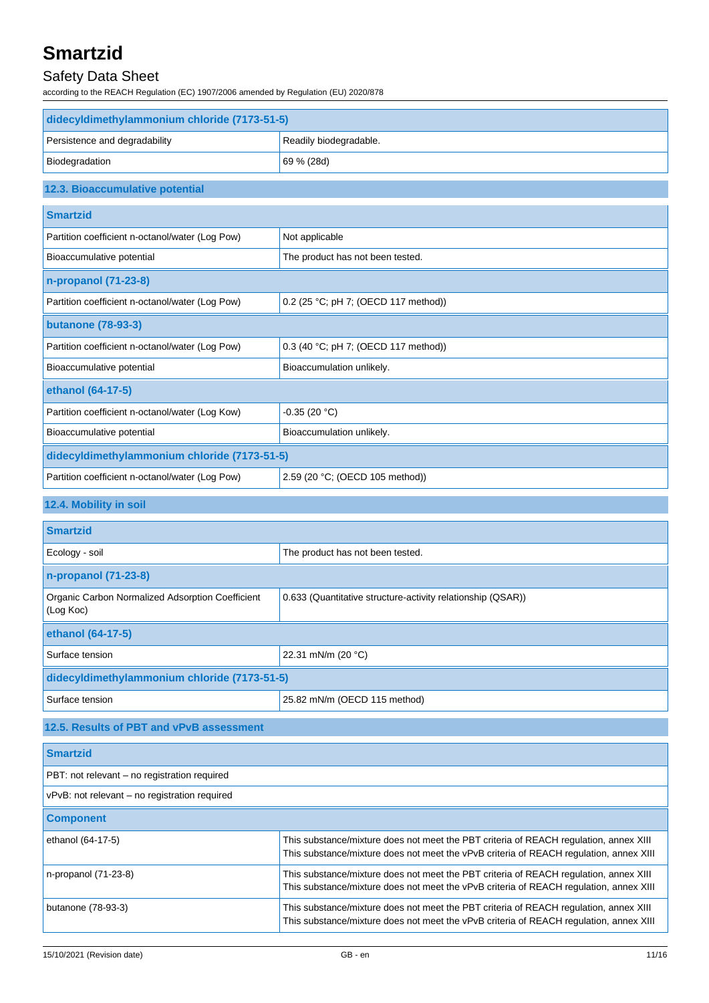### Safety Data Sheet

according to the REACH Regulation (EC) 1907/2006 amended by Regulation (EU) 2020/878

| didecyldimethylammonium chloride (7173-51-5)    |                                      |  |
|-------------------------------------------------|--------------------------------------|--|
| Persistence and degradability                   | Readily biodegradable.               |  |
| Biodegradation                                  | 69 % (28d)                           |  |
| 12.3. Bioaccumulative potential                 |                                      |  |
| <b>Smartzid</b>                                 |                                      |  |
| Partition coefficient n-octanol/water (Log Pow) | Not applicable                       |  |
| Bioaccumulative potential                       | The product has not been tested.     |  |
| n-propanol (71-23-8)                            |                                      |  |
| Partition coefficient n-octanol/water (Log Pow) | 0.2 (25 °C; pH 7; (OECD 117 method)) |  |
| <b>butanone (78-93-3)</b>                       |                                      |  |
| Partition coefficient n-octanol/water (Log Pow) | 0.3 (40 °C; pH 7; (OECD 117 method)) |  |
| Bioaccumulative potential                       | Bioaccumulation unlikely.            |  |
| ethanol (64-17-5)                               |                                      |  |
| Partition coefficient n-octanol/water (Log Kow) | $-0.35(20 °C)$                       |  |
| Bioaccumulative potential                       | Bioaccumulation unlikely.            |  |
| didecyldimethylammonium chloride (7173-51-5)    |                                      |  |
| Partition coefficient n-octanol/water (Log Pow) | 2.59 (20 °C; (OECD 105 method))      |  |
| 12.4. Mobility in soil                          |                                      |  |

## **Smartzid** Ecology - soil **Ecology** - soil **The product has not been tested. n-propanol (71-23-8)** Organic Carbon Normalized Adsorption Coefficient (Log Koc) 0.633 (Quantitative structure-activity relationship (QSAR)) **ethanol (64-17-5)** Surface tension 22.31 mN/m (20 °C) **didecyldimethylammonium chloride (7173-51-5)** Surface tension 25.82 mN/m (OECD 115 method)

### **12.5. Results of PBT and vPvB assessment**

| <b>Smartzid</b>                               |                                                                                                                                                                                 |
|-----------------------------------------------|---------------------------------------------------------------------------------------------------------------------------------------------------------------------------------|
| PBT: not relevant – no registration required  |                                                                                                                                                                                 |
| vPvB: not relevant – no registration required |                                                                                                                                                                                 |
| <b>Component</b>                              |                                                                                                                                                                                 |
| ethanol (64-17-5)                             | This substance/mixture does not meet the PBT criteria of REACH regulation, annex XIII<br>This substance/mixture does not meet the vPvB criteria of REACH regulation, annex XIII |
| $n$ -propanol $(71-23-8)$                     | This substance/mixture does not meet the PBT criteria of REACH regulation, annex XIII<br>This substance/mixture does not meet the vPvB criteria of REACH requlation, annex XIII |
| butanone (78-93-3)                            | This substance/mixture does not meet the PBT criteria of REACH regulation, annex XIII<br>This substance/mixture does not meet the vPvB criteria of REACH regulation, annex XIII |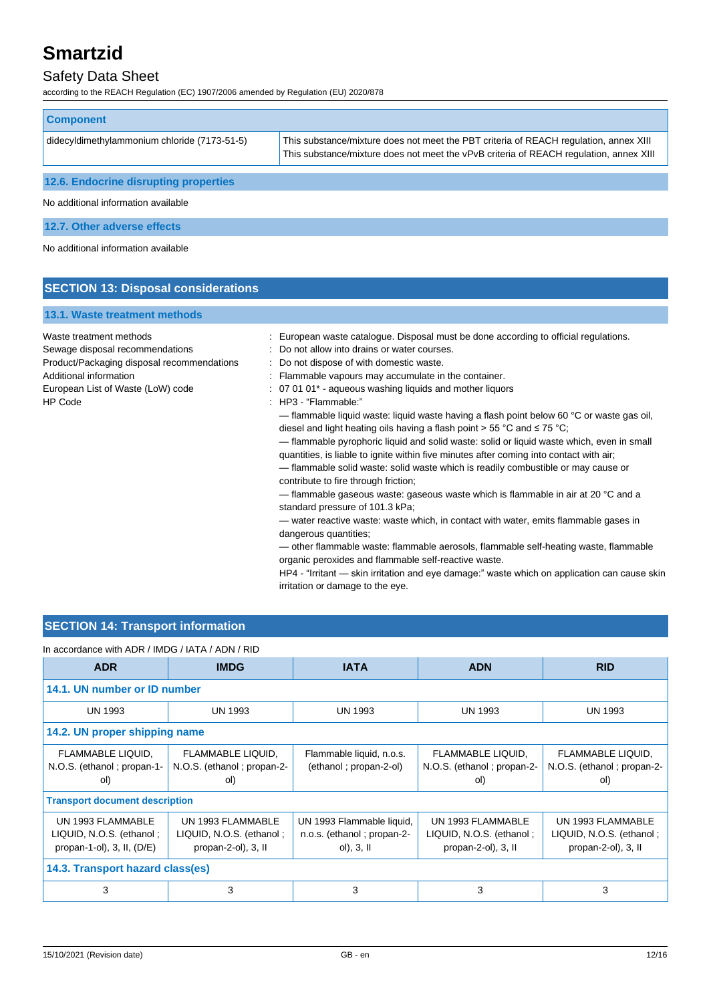### Safety Data Sheet

according to the REACH Regulation (EC) 1907/2006 amended by Regulation (EU) 2020/878

| <b>Component</b>                             |                                                                                                                                                                                 |  |
|----------------------------------------------|---------------------------------------------------------------------------------------------------------------------------------------------------------------------------------|--|
| didecyldimethylammonium chloride (7173-51-5) | This substance/mixture does not meet the PBT criteria of REACH regulation, annex XIII<br>This substance/mixture does not meet the vPvB criteria of REACH requlation, annex XIII |  |
| 12.6. Endocrine disrupting properties        |                                                                                                                                                                                 |  |
| No additional information available          |                                                                                                                                                                                 |  |
| 12.7. Other adverse effects                  |                                                                                                                                                                                 |  |
| No additional information available          |                                                                                                                                                                                 |  |

#### **SECTION 13: Disposal considerations**

#### **13.1. Waste treatment methods**

Product/Packaging disposal recommendations : Do not dispose of with domestic waste. HP Code : HP3 - "Flammable:"

- Waste treatment methods : European waste catalogue. Disposal must be done according to official regulations.
- Sewage disposal recommendations : Do not allow into drains or water courses.
	-
- Additional information **interval in the container.** : Flammable vapours may accumulate in the container.
- European List of Waste (LoW) code : 07 01 01<sup>\*</sup> aqueous washing liquids and mother liquors
	-

— flammable liquid waste: liquid waste having a flash point below 60 °C or waste gas oil, diesel and light heating oils having a flash point > 55 °C and ≤ 75 °C;

— flammable pyrophoric liquid and solid waste: solid or liquid waste which, even in small quantities, is liable to ignite within five minutes after coming into contact with air;

— flammable solid waste: solid waste which is readily combustible or may cause or contribute to fire through friction;

— flammable gaseous waste: gaseous waste which is flammable in air at 20 °C and a standard pressure of 101.3 kPa;

— water reactive waste: waste which, in contact with water, emits flammable gases in dangerous quantities;

— other flammable waste: flammable aerosols, flammable self-heating waste, flammable organic peroxides and flammable self-reactive waste.

HP4 - "Irritant — skin irritation and eye damage:" waste which on application can cause skin irritation or damage to the eye.

#### **SECTION 14: Transport information**

#### In accordance with ADR / IMDG / IATA / ADN / RID

| <b>ADR</b>                       | <b>IMDG</b>                           | <b>IATA</b>                | <b>ADN</b>                 | <b>RID</b>                 |
|----------------------------------|---------------------------------------|----------------------------|----------------------------|----------------------------|
| 14.1. UN number or ID number     |                                       |                            |                            |                            |
| <b>UN 1993</b>                   | UN 1993                               | <b>UN 1993</b>             | UN 1993                    | <b>UN 1993</b>             |
| 14.2. UN proper shipping name    |                                       |                            |                            |                            |
| FLAMMABLE LIQUID,                | FLAMMABLE LIQUID,                     | Flammable liquid, n.o.s.   | FLAMMABLE LIQUID,          | FLAMMABLE LIQUID,          |
| N.O.S. (ethanol; propan-1-       | N.O.S. (ethanol; propan-2-            | (ethanol; propan-2-ol)     | N.O.S. (ethanol; propan-2- | N.O.S. (ethanol; propan-2- |
| ol)                              | ol)                                   |                            | ol)                        | ol)                        |
|                                  | <b>Transport document description</b> |                            |                            |                            |
| UN 1993 FLAMMABLE                | UN 1993 FLAMMABLE                     | UN 1993 Flammable liquid,  | UN 1993 FLAMMABLE          | UN 1993 FLAMMABLE          |
| LIQUID, N.O.S. (ethanol;         | LIQUID, N.O.S. (ethanol;              | n.o.s. (ethanol; propan-2- | LIQUID, N.O.S. (ethanol;   | LIQUID, N.O.S. (ethanol;   |
| propan-1-ol), $3$ , II, $(D/E)$  | propan-2-ol), 3, II                   | ol), $3,$ II               | propan-2-ol), 3, II        | propan-2-ol), 3, II        |
| 14.3. Transport hazard class(es) |                                       |                            |                            |                            |
| 3                                | 3                                     | 3                          | 3                          | 3                          |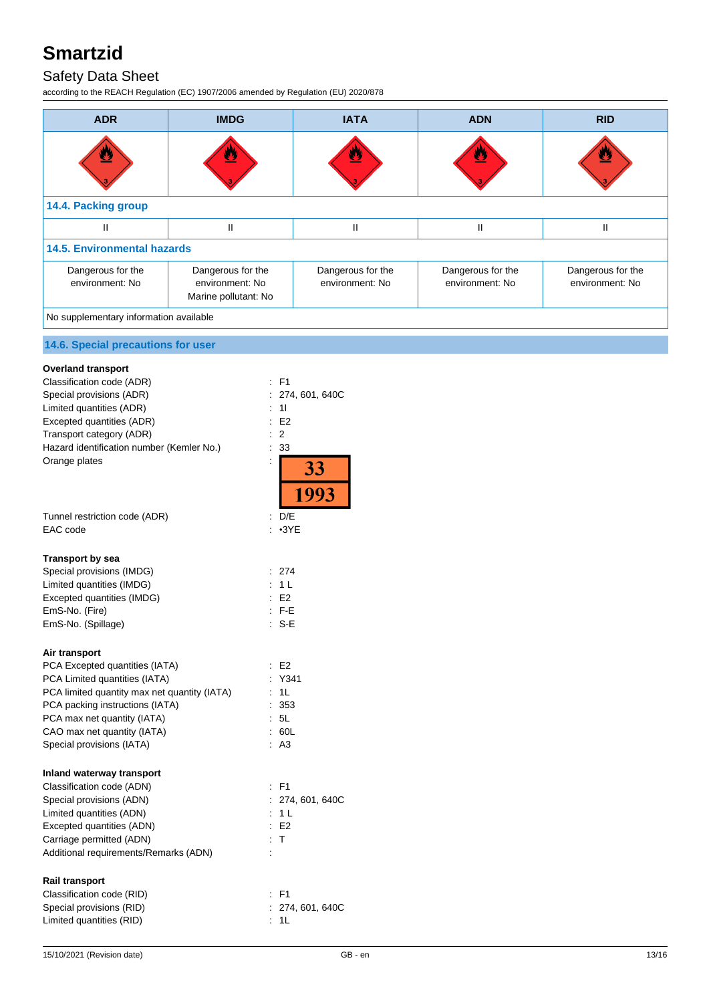### Safety Data Sheet

according to the REACH Regulation (EC) 1907/2006 amended by Regulation (EU) 2020/878

| <b>ADR</b>                             | <b>IMDG</b>                                                  | <b>IATA</b>                          | <b>ADN</b>                           | <b>RID</b>                           |
|----------------------------------------|--------------------------------------------------------------|--------------------------------------|--------------------------------------|--------------------------------------|
|                                        | U,                                                           |                                      | <u>e,</u>                            |                                      |
| 14.4. Packing group                    |                                                              |                                      |                                      |                                      |
| Ш                                      | Ш                                                            | Ш                                    | $\mathsf{II}$                        | Ш                                    |
| <b>14.5. Environmental hazards</b>     |                                                              |                                      |                                      |                                      |
| Dangerous for the<br>environment: No   | Dangerous for the<br>environment: No<br>Marine pollutant: No | Dangerous for the<br>environment: No | Dangerous for the<br>environment: No | Dangerous for the<br>environment: No |
| No supplementary information available |                                                              |                                      |                                      |                                      |

### **14.6. Special precautions for user**

| <b>Overland transport</b>                    |                              |
|----------------------------------------------|------------------------------|
| Classification code (ADR)                    | F <sub>1</sub>               |
| Special provisions (ADR)                     | ÷<br>274, 601, 640C          |
| Limited quantities (ADR)                     | 11                           |
| Excepted quantities (ADR)                    | E2                           |
| Transport category (ADR)                     | ÷<br>2                       |
| Hazard identification number (Kemler No.)    | 33                           |
| Orange plates                                | ÷<br>$\frac{33}{1993}$       |
|                                              |                              |
| Tunnel restriction code (ADR)                | D/E                          |
| EAC code                                     | $\cdot$ 3YE                  |
| Transport by sea                             |                              |
| Special provisions (IMDG)                    | : 274                        |
| Limited quantities (IMDG)                    | 1 <sub>L</sub><br>÷          |
| Excepted quantities (IMDG)                   | E2                           |
| EmS-No. (Fire)                               | $E - F - E$                  |
| EmS-No. (Spillage)                           | $S-E$                        |
| Air transport                                |                              |
| PCA Excepted quantities (IATA)               | E2                           |
| PCA Limited quantities (IATA)                | Y341<br>$\ddot{\phantom{a}}$ |
| PCA limited quantity max net quantity (IATA) | 1L                           |
| PCA packing instructions (IATA)              | 353<br>$\ddot{\phantom{a}}$  |
| PCA max net quantity (IATA)                  | 5L<br>÷                      |
| CAO max net quantity (IATA)                  | 60L                          |
| Special provisions (IATA)                    | A <sub>3</sub>               |
| Inland waterway transport                    |                              |
| Classification code (ADN)                    | <b>F1</b>                    |
| Special provisions (ADN)                     | 274, 601, 640C               |
| Limited quantities (ADN)                     | 1 <sup>L</sup>               |
| Excepted quantities (ADN)                    | E <sub>2</sub><br>÷          |
| Carriage permitted (ADN)                     | ÷.<br>т                      |
| Additional requirements/Remarks (ADN)        |                              |
| <b>Rail transport</b>                        |                              |
| Classification code (RID)                    | : F1                         |
| Special provisions (RID)                     | 274, 601, 640C               |
| Limited quantities (RID)                     | 1L                           |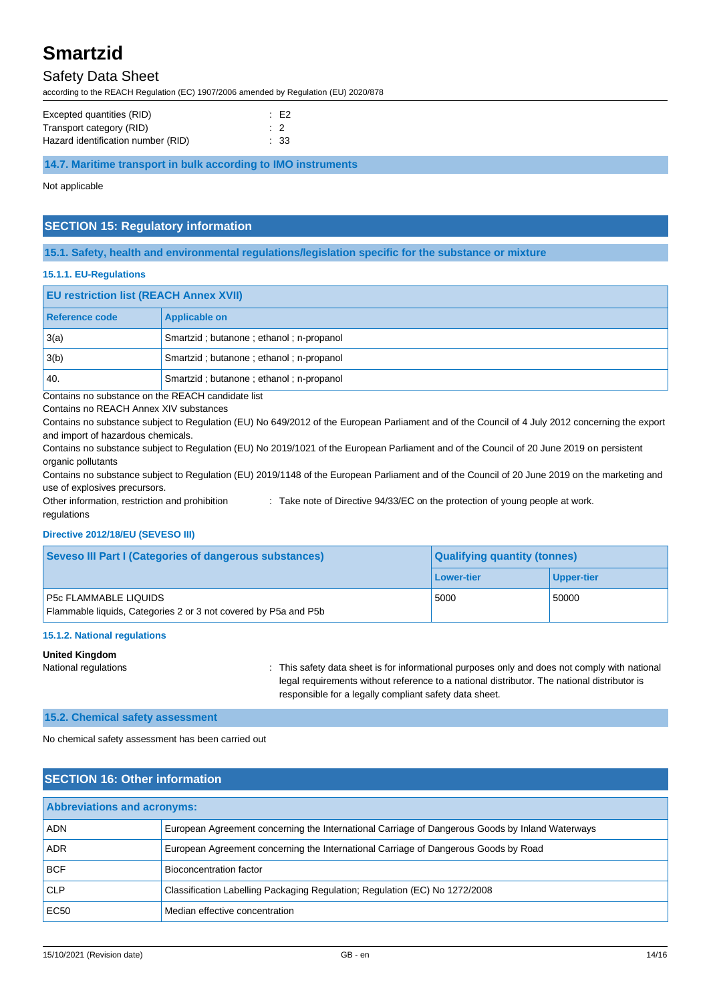### Safety Data Sheet

according to the REACH Regulation (EC) 1907/2006 amended by Regulation (EU) 2020/878

| Excepted quantities (RID)          | $\therefore$ E2 |
|------------------------------------|-----------------|
| Transport category (RID)           |                 |
| Hazard identification number (RID) | : 33            |

**14.7. Maritime transport in bulk according to IMO instruments**

Not applicable

#### **SECTION 15: Regulatory information**

#### **15.1. Safety, health and environmental regulations/legislation specific for the substance or mixture**

#### **15.1.1. EU-Regulations**

| <b>EU restriction list (REACH Annex XVII)</b> |                                         |  |
|-----------------------------------------------|-----------------------------------------|--|
| Reference code                                | Applicable on                           |  |
| 3(a)                                          | Smartzid; butanone; ethanol; n-propanol |  |
| 3(b)                                          | Smartzid; butanone; ethanol; n-propanol |  |
| 40.                                           | Smartzid; butanone; ethanol; n-propanol |  |

Contains no substance on the REACH candidate list

Contains no REACH Annex XIV substances

Contains no substance subject to Regulation (EU) No 649/2012 of the European Parliament and of the Council of 4 July 2012 concerning the export and import of hazardous chemicals.

Contains no substance subject to Regulation (EU) No 2019/1021 of the European Parliament and of the Council of 20 June 2019 on persistent organic pollutants

Contains no substance subject to Regulation (EU) 2019/1148 of the European Parliament and of the Council of 20 June 2019 on the marketing and use of explosives precursors.

Other information, restriction and prohibition regulations : Take note of Directive 94/33/EC on the protection of young people at work.

### **Directive 2012/18/EU (SEVESO III)**

| <b>Seveso III Part I (Categories of dangerous substances)</b>                                   | <b>Qualifying quantity (tonnes)</b> |                   |
|-------------------------------------------------------------------------------------------------|-------------------------------------|-------------------|
|                                                                                                 | Lower-tier                          | <b>Upper-tier</b> |
| <b>P5c FLAMMABLE LIQUIDS</b><br>Flammable liquids, Categories 2 or 3 not covered by P5a and P5b | 5000                                | 50000             |

#### **15.1.2. National regulations**

#### **United Kingdom**

National regulations **interval on the same of the safety data sheet is for informational purposes only and does not comply with national purposes** legal requirements without reference to a national distributor. The national distributor is responsible for a legally compliant safety data sheet.

#### **15.2. Chemical safety assessment**

No chemical safety assessment has been carried out

#### **SECTION 16: Other information**

| <b>Abbreviations and acronyms:</b> |                                                                                                 |  |
|------------------------------------|-------------------------------------------------------------------------------------------------|--|
| <b>ADN</b>                         | European Agreement concerning the International Carriage of Dangerous Goods by Inland Waterways |  |
| <b>ADR</b>                         | European Agreement concerning the International Carriage of Dangerous Goods by Road             |  |
| <b>BCF</b>                         | Bioconcentration factor                                                                         |  |
| <b>CLP</b>                         | Classification Labelling Packaging Regulation; Regulation (EC) No 1272/2008                     |  |
| EC50                               | Median effective concentration                                                                  |  |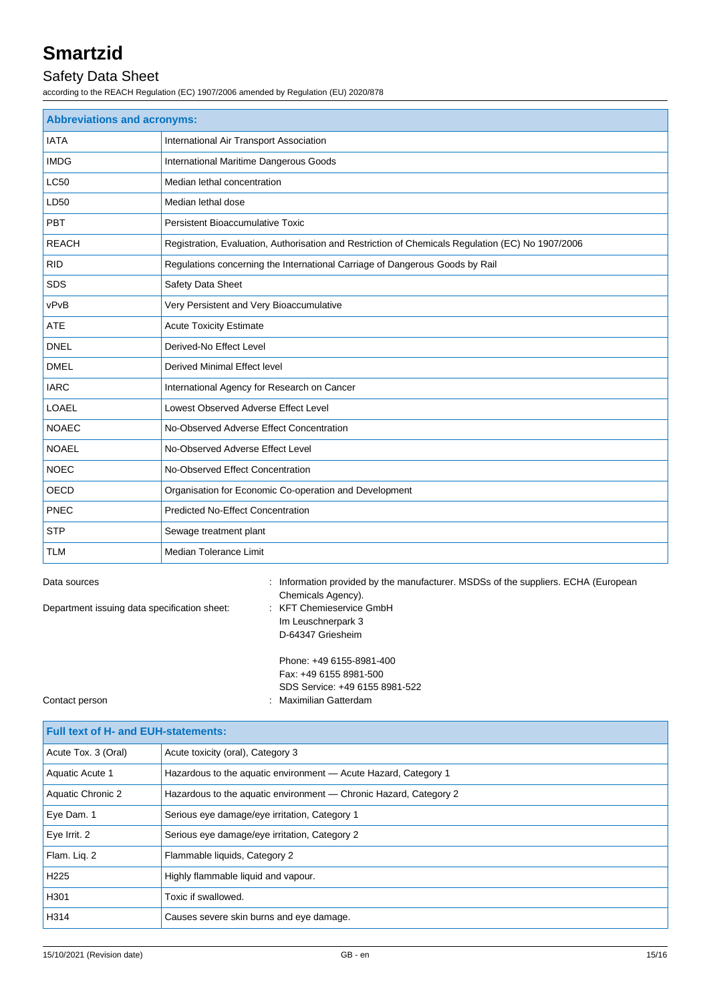### Safety Data Sheet

according to the REACH Regulation (EC) 1907/2006 amended by Regulation (EU) 2020/878

| <b>Abbreviations and acronyms:</b> |                                                                                                   |  |  |
|------------------------------------|---------------------------------------------------------------------------------------------------|--|--|
| <b>IATA</b>                        | International Air Transport Association                                                           |  |  |
| <b>IMDG</b>                        | International Maritime Dangerous Goods                                                            |  |  |
| <b>LC50</b>                        | Median lethal concentration                                                                       |  |  |
| LD50                               | Median lethal dose                                                                                |  |  |
| PBT                                | Persistent Bioaccumulative Toxic                                                                  |  |  |
| <b>REACH</b>                       | Registration, Evaluation, Authorisation and Restriction of Chemicals Regulation (EC) No 1907/2006 |  |  |
| <b>RID</b>                         | Regulations concerning the International Carriage of Dangerous Goods by Rail                      |  |  |
| <b>SDS</b>                         | Safety Data Sheet                                                                                 |  |  |
| vPvB                               | Very Persistent and Very Bioaccumulative                                                          |  |  |
| <b>ATE</b>                         | <b>Acute Toxicity Estimate</b>                                                                    |  |  |
| <b>DNEL</b>                        | Derived-No Effect Level                                                                           |  |  |
| <b>DMEL</b>                        | <b>Derived Minimal Effect level</b>                                                               |  |  |
| <b>IARC</b>                        | International Agency for Research on Cancer                                                       |  |  |
| <b>LOAEL</b>                       | Lowest Observed Adverse Effect Level                                                              |  |  |
| <b>NOAEC</b>                       | No-Observed Adverse Effect Concentration                                                          |  |  |
| <b>NOAEL</b>                       | No-Observed Adverse Effect Level                                                                  |  |  |
| <b>NOEC</b>                        | No-Observed Effect Concentration                                                                  |  |  |
| OECD                               | Organisation for Economic Co-operation and Development                                            |  |  |
| PNEC                               | <b>Predicted No-Effect Concentration</b>                                                          |  |  |
| <b>STP</b>                         | Sewage treatment plant                                                                            |  |  |
| <b>TLM</b>                         | <b>Median Tolerance Limit</b>                                                                     |  |  |

Department issuing data specification sheet: : KFT Chemieservice GmbH

Data sources **information provided by the manufacturer.** MSDSs of the suppliers. ECHA (European Chemicals Agency). Im Leuschnerpark 3 D-64347 Griesheim

| Phone: +49 6155-8981-400       |
|--------------------------------|
| Fax: +49 6155 8981-500         |
| SDS Service: +49 6155 8981-522 |
| : Maximilian Gatterdam         |

Contact person

**Full text of H- and EUH-statements:** Acute Tox. 3 (Oral) Acute toxicity (oral), Category 3 Aquatic Acute 1 Hazardous to the aquatic environment — Acute Hazard, Category 1 Aquatic Chronic 2 Hazardous to the aquatic environment — Chronic Hazard, Category 2 Eye Dam. 1 Serious eye damage/eye irritation, Category 1 Eye Irrit. 2 Serious eye damage/eye irritation, Category 2 Flam. Liq. 2 Flammable liquids, Category 2 H<sub>225</sub> Highly flammable liquid and vapour. H301 **Toxic if swallowed.** H314 Causes severe skin burns and eye damage.